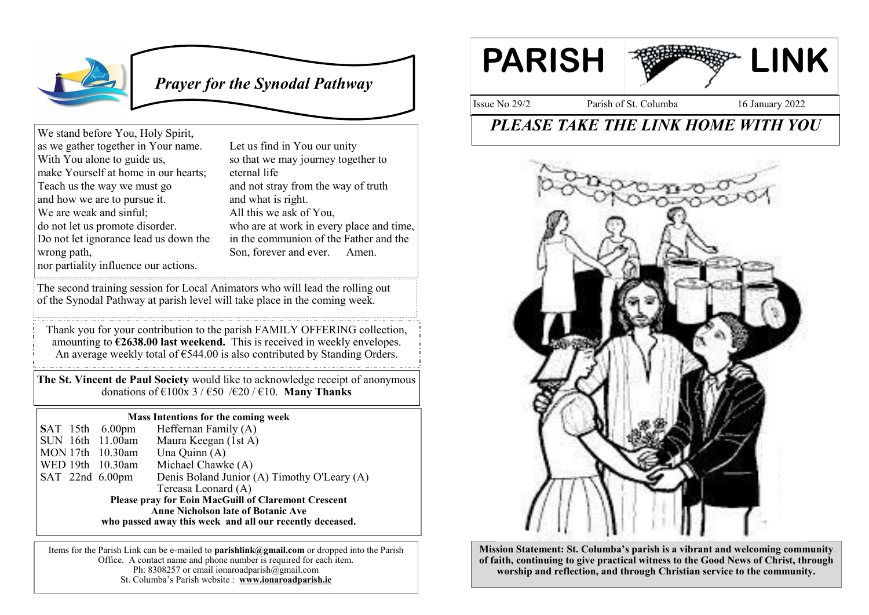

 *Prayer for the Synodal Pathway*

We stand before You, Holy Spirit, as we gather together in Your name. With You alone to guide us, make Yourself at home in our hearts; Teach us the way we must go and how we are to pursue it. We are weak and sinful; do not let us promote disorder. Do not let ignorance lead us down the wrong path, nor partiality influence our actions.

Let us find in You our unity so that we may journey together to eternal life and not stray from the way of truth and what is right. All this we ask of You, who are at work in every place and time, in the communion of the Father and the Son, forever and ever. Amen.

The second training session for Local Animators who will lead the rolling out of the Synodal Pathway at parish level will take place in the coming week.

Thank you for your contribution to the parish FAMILY OFFERING collection, amounting to **€2638.00 last weekend.** This is received in weekly envelopes. An average weekly total of  $\epsilon$ 544.00 is also contributed by Standing Orders.

**The St. Vincent de Paul Society** would like to acknowledge receipt of anonymous donations of  $\epsilon$ 100x 3 /  $\epsilon$ 50 / $\epsilon$ 20 /  $\epsilon$ 10. **Many Thanks** 

## **Mass Intentions for the coming week**

**S**AT 15th 6.00pm Heffernan Family (A) SUN 16th 11.00am Maura Keegan (1st A)<br>MON 17th 10.30am Una Ouinn (A)  $MON 17th 10.30am$ WED 19th 10.30am Michael Chawke (A) SAT 22nd 6.00pm Denis Boland Junior (A) Timothy O'Leary (A) Tereasa Leonard (A) **Please pray for Eoin MacGuill of Claremont Crescent Anne Nicholson late of Botanic Ave who passed away this week and all our recently deceased.**

Items for the Parish Link can be e-mailed to **parishlink@gmail.com** or dropped into the Parish Office. A contact name and phone number is required for each item. Ph: 8308257 or email ionaroadparish $@g$ gmail.com St. Columba's Parish website : **www.ionaroadparish.ie** 



Issue No 29/2 Parish of St. Columba 16 January 2022

## *PLEASE TAKE THE LINK HOME WITH YOU*



**Mission Statement: St. Columba's parish is a vibrant and welcoming community of faith, continuing to give practical witness to the Good News of Christ, through worship and reflection, and through Christian service to the community.**